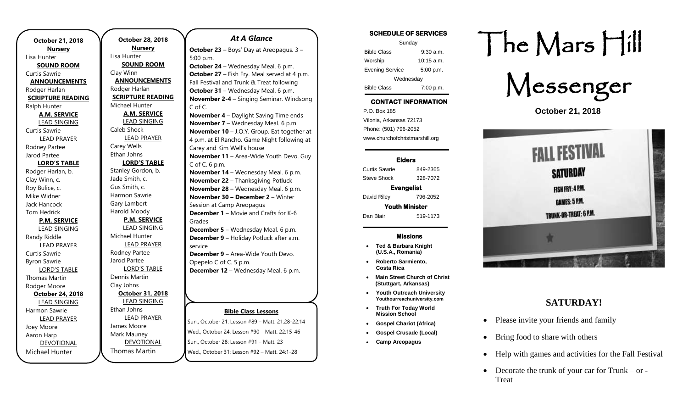| October 21, 2018              |  |  |
|-------------------------------|--|--|
| <b>Nursery</b><br>Lisa Hunter |  |  |
| <b>SOUND ROOM</b>             |  |  |
| Curtis Sawrie                 |  |  |
| <b>ANNOUNCEMENTS</b>          |  |  |
| Rodger Harlan                 |  |  |
| <b>SCRIPTURE READING</b>      |  |  |
| Ralph Hunter                  |  |  |
| <b>A.M. SERVICE</b>           |  |  |
| <b>LEAD SINGING</b>           |  |  |
| <b>Curtis Sawrie</b>          |  |  |
| <b>LEAD PRAYER</b>            |  |  |
| Rodney Partee                 |  |  |
| Jarod Partee                  |  |  |
| <b>LORD'S TABLE</b>           |  |  |
| Rodger Harlan, b.             |  |  |
| Clay Winn, c.                 |  |  |
| Roy Bulice, c.                |  |  |
| Mike Widner                   |  |  |
| Jack Hancock                  |  |  |
| <b>Tom Hedrick</b>            |  |  |
| <b>P.M. SERVICE</b>           |  |  |
| <b>LEAD SINGING</b>           |  |  |
| Randy Riddle                  |  |  |
| <b>LEAD PRAYER</b>            |  |  |
| Curtis Sawrie                 |  |  |
| <b>Byron Sawrie</b>           |  |  |
| <b>LORD'S TABLE</b>           |  |  |
| <b>Thomas Martin</b>          |  |  |
| Rodger Moore                  |  |  |
| October 24, 2018              |  |  |
| <b>LEAD SINGING</b>           |  |  |
| Harmon Sawrie                 |  |  |
| <b>LEAD PRAYER</b>            |  |  |
| Joey Moore                    |  |  |
| Aaron Harp                    |  |  |
| <b>DEVOTIONAL</b>             |  |  |
| Michael Hunter                |  |  |

**October 28, 2018 Nursery** Lisa Hunter **SOUND ROOM** Clay Winn **ANNOUNCEMENTS** Rodger Harlan **SCRIPTURE READING** Michael Hunter **A.M. SERVICE** LEAD SINGING Caleb Shock LEAD PRAYER Carey Wells Ethan Johns **LORD'S TABLE** Stanley Gordon, b. Jade Smith, c. Gus Smith, c. Harmon Sawrie Gary Lambert Harold Moody **P.M. SERVICE** LEAD SINGING Michael Hunter LEAD PRAYER Rodney Partee Jarod Partee LORD'S TABLE Dennis Martin Clay Johns **October 31, 2018** LEAD SINGING Ethan Johns LEAD PRAYER James Moore Mark Mauney DEVOTIONAL

Thomas Martin

### *At A Glance*

**October 23** – Boys' Day at Areopagus. 3 – 5:00 p.m.

**October 24** – Wednesday Meal. 6 p.m. **October 27** – Fish Fry. Meal served at 4 p.m. Fall Festival and Trunk & Treat following **October 31** – Wednesday Meal. 6 p.m. **November 2-4** – Singing Seminar. Windsong C of C.

**November 4** – Daylight Saving Time ends **November 7** – Wednesday Meal. 6 p.m. **November 10** – J.O.Y. Group. Eat together at 4 p.m. at El Rancho. Game Night following at Carey and Kim Well's house **November 11** – Area-Wide Youth Devo. Guy C of C. 6 p.m. **November 14** – Wednesday Meal. 6 p.m. **November 22** – Thanksgiving Potluck **November 28** – Wednesday Meal. 6 p.m. **November 30 – December 2** – Winter Session at Camp Areopagus **December 1** – Movie and Crafts for K-6 Grades **December 5** – Wednesday Meal. 6 p.m.

**December 9** – Holiday Potluck after a.m. service **December 9** – Area-Wide Youth Devo.

Opepelo C of C. 5 p.m. **December 12** – Wednesday Meal. 6 p.m.

### **Bible Class Lessons**

Sun., October 21: Lesson #89 – Matt. 21:28-22:14 Wed., October 24: Lesson #90 – Matt. 22:15-46 Sun., October 28: Lesson #91 – Matt. 23 Wed., October 31: Lesson #92 – Matt. 24:1-28

### **SCHEDULE OF SERVICES**

| Sunday                 |              |  |
|------------------------|--------------|--|
| <b>Bible Class</b>     | $9:30$ a.m.  |  |
| Worship                | $10:15$ a.m. |  |
| <b>Evening Service</b> | 5:00 p.m.    |  |
| Wednesday              |              |  |
| <b>Bible Class</b>     | 7:00 p.m.    |  |

### **CONTACT INFORMATION**

. .o. Box 166<br>Vilonia, Arkansas 72173 P.O. Box 185 Phone: (501) 796-2052 www.churchofchristmarshill.org

### **Elders**

Curtis Sawrie 849-2365 Steve Shock 328-7072 **Evangelist** 

David Riley 796-2052

**Youth Minister**  Dan Blair 519-1173

#### **Missions**

- **Ted & Barbara Knight (U.S.A., Romania)**
- **Roberto Sarmiento, Costa Rica**
- **Main Street Church of Christ (Stuttgart, Arkansas)**
- **Youth Outreach University Youthourreachuniversity.com**
- **Truth For Today World Mission School**
- **Gospel Chariot (Africa)**
- **Gospel Crusade (Local)**
- **Camp Areopagus**

# The Mars Hill



**October 21, 2018**



## **SATURDAY!**

- Please invite your friends and family
- Bring food to share with others
- Help with games and activities for the Fall Festival
- Decorate the trunk of your car for Trunk or -Treat